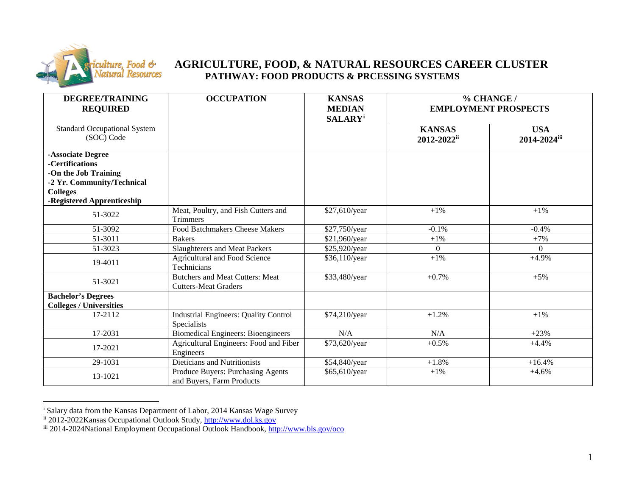

## <span id="page-0-2"></span><span id="page-0-1"></span><span id="page-0-0"></span>**AGRICULTURE, FOOD, & NATURAL RESOURCES CAREER CLUSTER PATHWAY: FOOD PRODUCTS & PRCESSING SYSTEMS**

| <b>DEGREE/TRAINING</b><br><b>REQUIRED</b>                                                                                                   | <b>OCCUPATION</b>                                                     | <b>KANSAS</b><br><b>MEDIAN</b><br><b>SALARY</b> <sup>i</sup> | % CHANGE /<br><b>EMPLOYMENT PROSPECTS</b> |                            |
|---------------------------------------------------------------------------------------------------------------------------------------------|-----------------------------------------------------------------------|--------------------------------------------------------------|-------------------------------------------|----------------------------|
| <b>Standard Occupational System</b><br>(SOC) Code                                                                                           |                                                                       |                                                              | <b>KANSAS</b><br>2012-2022ii              | <b>USA</b><br>2014-2024iii |
| -Associate Degree<br>-Certifications<br>-On the Job Training<br>-2 Yr. Community/Technical<br><b>Colleges</b><br>-Registered Apprenticeship |                                                                       |                                                              |                                           |                            |
| 51-3022                                                                                                                                     | Meat, Poultry, and Fish Cutters and<br><b>Trimmers</b>                | \$27,610/year                                                | $+1%$                                     | $+1\%$                     |
| 51-3092                                                                                                                                     | <b>Food Batchmakers Cheese Makers</b>                                 | \$27,750/year                                                | $-0.1%$                                   | $-0.4%$                    |
| 51-3011                                                                                                                                     | <b>Bakers</b>                                                         | \$21,960/year                                                | $+1%$                                     | $+7%$                      |
| 51-3023                                                                                                                                     | <b>Slaughterers and Meat Packers</b>                                  | \$25,920/year                                                | $\Omega$                                  | $\Omega$                   |
| 19-4011                                                                                                                                     | Agricultural and Food Science<br>Technicians                          | \$36,110/year                                                | $+1%$                                     | $+4.9%$                    |
| 51-3021                                                                                                                                     | <b>Butchers and Meat Cutters: Meat</b><br><b>Cutters-Meat Graders</b> | \$33,480/year                                                | $+0.7%$                                   | $+5%$                      |
| <b>Bachelor's Degrees</b>                                                                                                                   |                                                                       |                                                              |                                           |                            |
| <b>Colleges / Universities</b>                                                                                                              |                                                                       |                                                              |                                           |                            |
| 17-2112                                                                                                                                     | <b>Industrial Engineers: Quality Control</b><br>Specialists           | \$74,210/year                                                | $+1.2%$                                   | $+1\%$                     |
| 17-2031                                                                                                                                     | <b>Biomedical Engineers: Bioengineers</b>                             | N/A                                                          | N/A                                       | $+23%$                     |
| 17-2021                                                                                                                                     | Agricultural Engineers: Food and Fiber<br>Engineers                   | \$73,620/year                                                | $+0.5%$                                   | $+4.4%$                    |
| 29-1031                                                                                                                                     | Dieticians and Nutritionists                                          | \$54,840/year                                                | $+1.8%$                                   | $+16.4%$                   |
| 13-1021                                                                                                                                     | Produce Buyers: Purchasing Agents<br>and Buyers, Farm Products        | \$65,610/year                                                | $+1\%$                                    | $+4.6%$                    |

i Salary data from the Kansas Department of Labor, 2014 Kansas Wage Survey

ii 2012-2022Kansas Occupational Outlook Study, [http://www.dol.ks.gov](http://www.dol.ks.gov/)

iii 2014-2024National Employment Occupational Outlook Handbook,<http://www.bls.gov/oco>